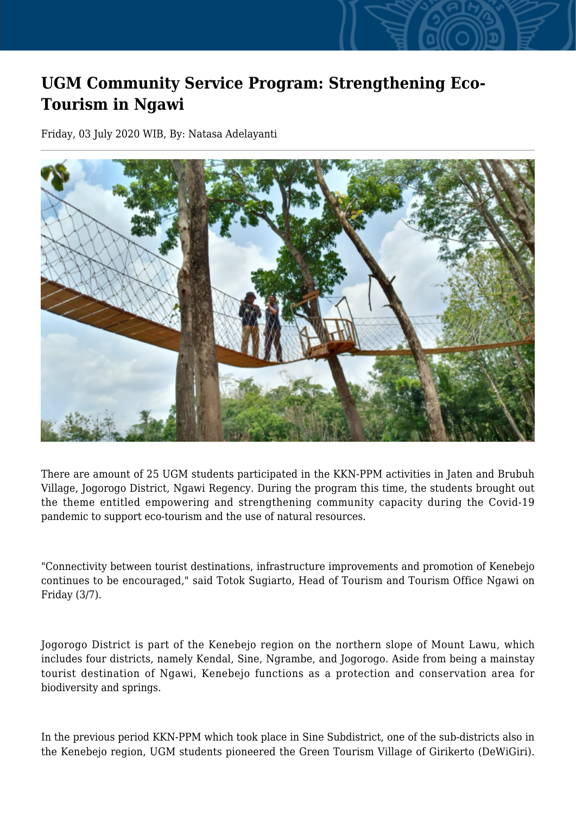## **UGM Community Service Program: Strengthening Eco-Tourism in Ngawi**

Friday, 03 July 2020 WIB, By: Natasa Adelayanti



There are amount of 25 UGM students participated in the KKN-PPM activities in Jaten and Brubuh Village, Jogorogo District, Ngawi Regency. During the program this time, the students brought out the theme entitled empowering and strengthening community capacity during the Covid-19 pandemic to support eco-tourism and the use of natural resources.

"Connectivity between tourist destinations, infrastructure improvements and promotion of Kenebejo continues to be encouraged," said Totok Sugiarto, Head of Tourism and Tourism Office Ngawi on Friday (3/7).

Jogorogo District is part of the Kenebejo region on the northern slope of Mount Lawu, which includes four districts, namely Kendal, Sine, Ngrambe, and Jogorogo. Aside from being a mainstay tourist destination of Ngawi, Kenebejo functions as a protection and conservation area for biodiversity and springs.

In the previous period KKN-PPM which took place in Sine Subdistrict, one of the sub-districts also in the Kenebejo region, UGM students pioneered the Green Tourism Village of Girikerto (DeWiGiri).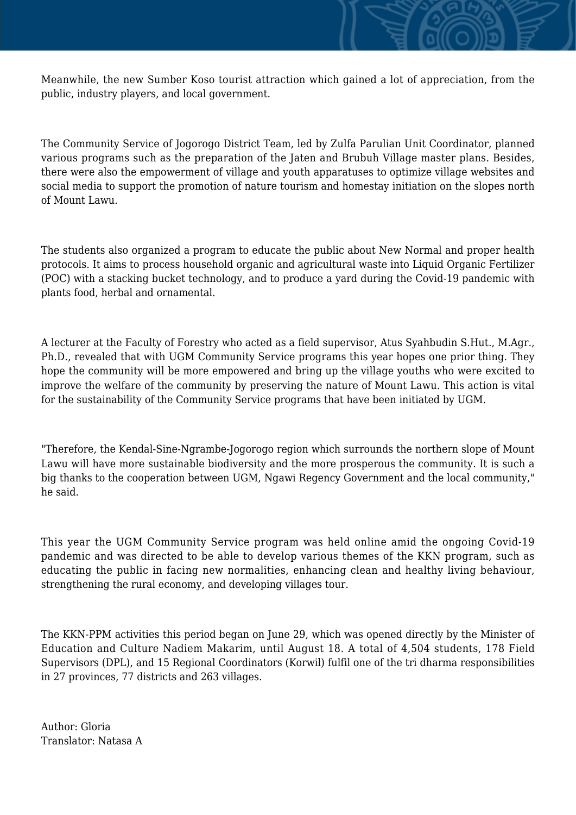

The Community Service of Jogorogo District Team, led by Zulfa Parulian Unit Coordinator, planned various programs such as the preparation of the Jaten and Brubuh Village master plans. Besides, there were also the empowerment of village and youth apparatuses to optimize village websites and social media to support the promotion of nature tourism and homestay initiation on the slopes north of Mount Lawu.

The students also organized a program to educate the public about New Normal and proper health protocols. It aims to process household organic and agricultural waste into Liquid Organic Fertilizer (POC) with a stacking bucket technology, and to produce a yard during the Covid-19 pandemic with plants food, herbal and ornamental.

A lecturer at the Faculty of Forestry who acted as a field supervisor, Atus Syahbudin S.Hut., M.Agr., Ph.D., revealed that with UGM Community Service programs this year hopes one prior thing. They hope the community will be more empowered and bring up the village youths who were excited to improve the welfare of the community by preserving the nature of Mount Lawu. This action is vital for the sustainability of the Community Service programs that have been initiated by UGM.

"Therefore, the Kendal-Sine-Ngrambe-Jogorogo region which surrounds the northern slope of Mount Lawu will have more sustainable biodiversity and the more prosperous the community. It is such a big thanks to the cooperation between UGM, Ngawi Regency Government and the local community," he said.

This year the UGM Community Service program was held online amid the ongoing Covid-19 pandemic and was directed to be able to develop various themes of the KKN program, such as educating the public in facing new normalities, enhancing clean and healthy living behaviour, strengthening the rural economy, and developing villages tour.

The KKN-PPM activities this period began on June 29, which was opened directly by the Minister of Education and Culture Nadiem Makarim, until August 18. A total of 4,504 students, 178 Field Supervisors (DPL), and 15 Regional Coordinators (Korwil) fulfil one of the tri dharma responsibilities in 27 provinces, 77 districts and 263 villages.

Author: Gloria Translator: Natasa A